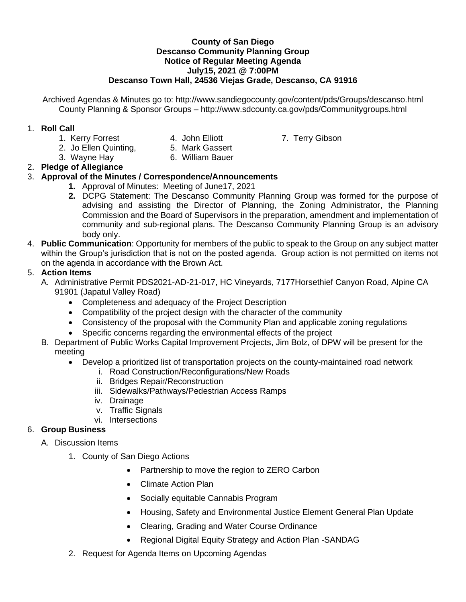#### **County of San Diego Descanso Community Planning Group Notice of Regular Meeting Agenda July15, 2021 @ 7:00PM Descanso Town Hall, 24536 Viejas Grade, Descanso, CA 91916**

Archived Agendas & Minutes go to: http://www.sandiegocounty.gov/content/pds/Groups/descanso.html County Planning & Sponsor Groups – http://www.sdcounty.ca.gov/pds/Communitygroups.html

#### 1. **Roll Call**

- 1. Kerry Forrest **4. John Elliott** 7. Terry Gibson
	-
- 
- 2. Jo Ellen Quinting, 5. Mark Gassert
- 3. Wayne Hay 6. William Bauer

# 2. **Pledge of Allegiance**

## 3. **Approval of the Minutes / Correspondence/Announcements**

- **1.** Approval of Minutes: Meeting of June17, 2021
- **2.** DCPG Statement: The Descanso Community Planning Group was formed for the purpose of advising and assisting the Director of Planning, the Zoning Administrator, the Planning Commission and the Board of Supervisors in the preparation, amendment and implementation of community and sub-regional plans. The Descanso Community Planning Group is an advisory body only.
- 4. **Public Communication**: Opportunity for members of the public to speak to the Group on any subject matter within the Group's jurisdiction that is not on the posted agenda. Group action is not permitted on items not on the agenda in accordance with the Brown Act.

## 5. **Action Items**

- A. Administrative Permit PDS2021-AD-21-017, HC Vineyards, 7177Horsethief Canyon Road, Alpine CA 91901 (Japatul Valley Road)
	- Completeness and adequacy of the Project Description
	- Compatibility of the project design with the character of the community
	- Consistency of the proposal with the Community Plan and applicable zoning regulations
	- Specific concerns regarding the environmental effects of the project
- B. Department of Public Works Capital Improvement Projects, Jim Bolz, of DPW will be present for the meeting
	- Develop a prioritized list of transportation projects on the county-maintained road network
		- i. Road Construction/Reconfigurations/New Roads
		- ii. Bridges Repair/Reconstruction
		- iii. Sidewalks/Pathways/Pedestrian Access Ramps
		- iv. Drainage
		- v. Traffic Signals
		- vi. Intersections

## 6. **Group Business**

- A. Discussion Items
	- 1. County of San Diego Actions
		- Partnership to move the region to ZERO Carbon
		- Climate Action Plan
		- Socially equitable Cannabis Program
		- Housing, Safety and Environmental Justice Element General Plan Update
		- Clearing, Grading and Water Course Ordinance
		- Regional Digital Equity Strategy and Action Plan -SANDAG
	- 2. Request for Agenda Items on Upcoming Agendas